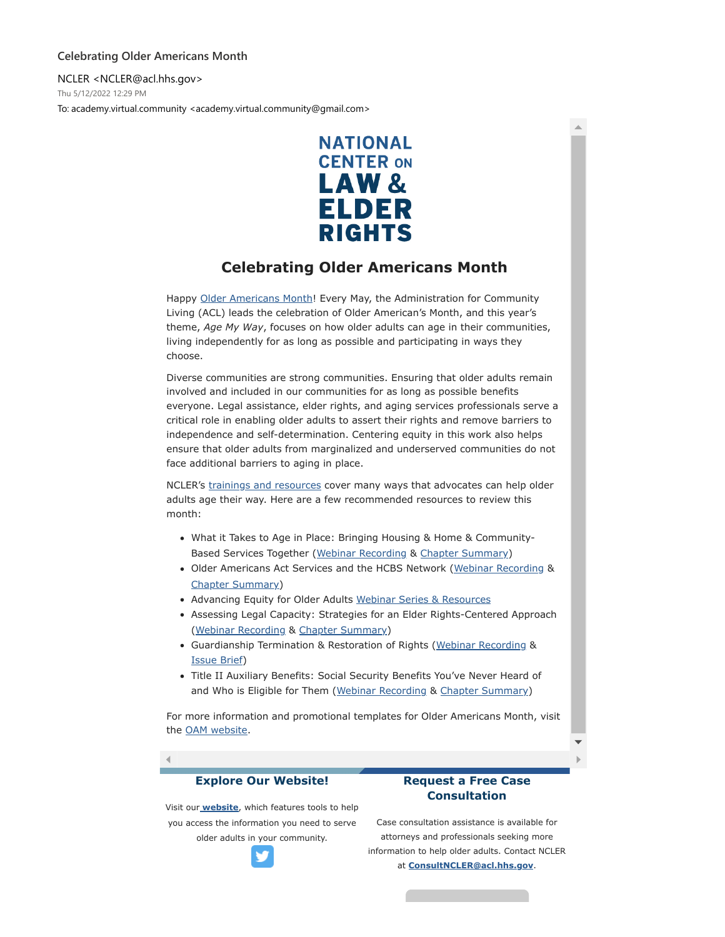## **Celebrating Older Americans Month**

NCLER <NCLER@acl.hhs.gov> Thu 5/12/2022 12:29 PM To: academy.virtual.community <academy.virtual.community@gmail.com>



## **Celebrating Older Americans Month**

Happy [Older Americans Month!](https://nam02.safelinks.protection.outlook.com/?url=https%3A%2F%2Fdefault.salsalabs.org%2FTaf422bcb-6a54-4440-9fe4-c48fbe84998b%2Fcc9f68e0-5ca3-4753-8b0a-258fe6ffcc07&data=05%7C01%7Crmc277%40shp.rutgers.edu%7C1f0aeea83a1a4b34aed208da34349d70%7Cb92d2b234d35447093ff69aca6632ffe%7C1%7C0%7C637879697845704977%7CUnknown%7CTWFpbGZsb3d8eyJWIjoiMC4wLjAwMDAiLCJQIjoiV2luMzIiLCJBTiI6Ik1haWwiLCJXVCI6Mn0%3D%7C3000%7C%7C%7C&sdata=ZkFwj9WK%2FovZqq5WfEPSJ93ZWEDrDIG8k2qLwqZjSfU%3D&reserved=0) Every May, the Administration for Community Living (ACL) leads the celebration of Older American's Month, and this year's theme, *Age My Way*, focuses on how older adults can age in their communities, living independently for as long as possible and participating in ways they choose.

Diverse communities are strong communities. Ensuring that older adults remain involved and included in our communities for as long as possible benefits everyone. Legal assistance, elder rights, and aging services professionals serve a critical role in enabling older adults to assert their rights and remove barriers to independence and self-determination. Centering equity in this work also helps ensure that older adults from marginalized and underserved communities do not face additional barriers to aging in place.

NCLER's [trainings and resources](https://nam02.safelinks.protection.outlook.com/?url=https%3A%2F%2Fdefault.salsalabs.org%2FT02f586b9-231c-4e5a-8b7e-1cb99b3621b0%2Fcc9f68e0-5ca3-4753-8b0a-258fe6ffcc07&data=05%7C01%7Crmc277%40shp.rutgers.edu%7C1f0aeea83a1a4b34aed208da34349d70%7Cb92d2b234d35447093ff69aca6632ffe%7C1%7C0%7C637879697845704977%7CUnknown%7CTWFpbGZsb3d8eyJWIjoiMC4wLjAwMDAiLCJQIjoiV2luMzIiLCJBTiI6Ik1haWwiLCJXVCI6Mn0%3D%7C3000%7C%7C%7C&sdata=WGu1DVMBiWu%2FppBBcgU%2BlA5CXPG61xgf7HZoRGcmC04%3D&reserved=0) cover many ways that advocates can help older adults age their way. Here are a few recommended resources to review this month:

- What it Takes to Age in Place: Bringing Housing & Home & Community-Based Services Together ([Webinar Recording](https://nam02.safelinks.protection.outlook.com/?url=https%3A%2F%2Fdefault.salsalabs.org%2FT2180628e-2552-48a0-9668-88a39c117460%2Fcc9f68e0-5ca3-4753-8b0a-258fe6ffcc07&data=05%7C01%7Crmc277%40shp.rutgers.edu%7C1f0aeea83a1a4b34aed208da34349d70%7Cb92d2b234d35447093ff69aca6632ffe%7C1%7C0%7C637879697845704977%7CUnknown%7CTWFpbGZsb3d8eyJWIjoiMC4wLjAwMDAiLCJQIjoiV2luMzIiLCJBTiI6Ik1haWwiLCJXVCI6Mn0%3D%7C3000%7C%7C%7C&sdata=13g5ksiR2LNV8XxN%2BzjiNt%2FVUGNBGEk9BCOUOjO3TRg%3D&reserved=0) & [Chapter Summary\)](https://nam02.safelinks.protection.outlook.com/?url=https%3A%2F%2Fdefault.salsalabs.org%2FTd618a5e3-aff9-4b7a-98aa-2215dc80b5f6%2Fcc9f68e0-5ca3-4753-8b0a-258fe6ffcc07&data=05%7C01%7Crmc277%40shp.rutgers.edu%7C1f0aeea83a1a4b34aed208da34349d70%7Cb92d2b234d35447093ff69aca6632ffe%7C1%7C0%7C637879697845704977%7CUnknown%7CTWFpbGZsb3d8eyJWIjoiMC4wLjAwMDAiLCJQIjoiV2luMzIiLCJBTiI6Ik1haWwiLCJXVCI6Mn0%3D%7C3000%7C%7C%7C&sdata=EA9zBBo1TLESHP%2FVKr4Nk4wILqUljUhYzyGcWQFChVc%3D&reserved=0)
- Older Americans Act Services and the HCBS Network ([Webinar Recording](https://nam02.safelinks.protection.outlook.com/?url=https%3A%2F%2Fdefault.salsalabs.org%2FTf246130f-1525-45ef-830d-69923e737ca0%2Fcc9f68e0-5ca3-4753-8b0a-258fe6ffcc07&data=05%7C01%7Crmc277%40shp.rutgers.edu%7C1f0aeea83a1a4b34aed208da34349d70%7Cb92d2b234d35447093ff69aca6632ffe%7C1%7C0%7C637879697845704977%7CUnknown%7CTWFpbGZsb3d8eyJWIjoiMC4wLjAwMDAiLCJQIjoiV2luMzIiLCJBTiI6Ik1haWwiLCJXVCI6Mn0%3D%7C3000%7C%7C%7C&sdata=6XMi6RKH33IxufUpFdEc%2BJRR93tY6nvuaGYfCJdXlCs%3D&reserved=0) & [Chapter Summary](https://nam02.safelinks.protection.outlook.com/?url=https%3A%2F%2Fdefault.salsalabs.org%2FT7dddf41f-5002-4ffa-a450-6c7ec28565e3%2Fcc9f68e0-5ca3-4753-8b0a-258fe6ffcc07&data=05%7C01%7Crmc277%40shp.rutgers.edu%7C1f0aeea83a1a4b34aed208da34349d70%7Cb92d2b234d35447093ff69aca6632ffe%7C1%7C0%7C637879697845704977%7CUnknown%7CTWFpbGZsb3d8eyJWIjoiMC4wLjAwMDAiLCJQIjoiV2luMzIiLCJBTiI6Ik1haWwiLCJXVCI6Mn0%3D%7C3000%7C%7C%7C&sdata=ZLV6AZ30ErdXgHyeV%2BXMz3CEYHNohyovLZo8ljuG6yE%3D&reserved=0))
- Advancing Equity for Older Adults [Webinar Series & Resources](https://nam02.safelinks.protection.outlook.com/?url=https%3A%2F%2Fdefault.salsalabs.org%2FT62b957c3-ca3b-481e-b1b8-d5580cf42a74%2Fcc9f68e0-5ca3-4753-8b0a-258fe6ffcc07&data=05%7C01%7Crmc277%40shp.rutgers.edu%7C1f0aeea83a1a4b34aed208da34349d70%7Cb92d2b234d35447093ff69aca6632ffe%7C1%7C0%7C637879697845704977%7CUnknown%7CTWFpbGZsb3d8eyJWIjoiMC4wLjAwMDAiLCJQIjoiV2luMzIiLCJBTiI6Ik1haWwiLCJXVCI6Mn0%3D%7C3000%7C%7C%7C&sdata=DnA7ZY7TDijHFUGSLwO7ZXGJwt0kiG3Ey2RWMp6Vato%3D&reserved=0)
- Assessing Legal Capacity: Strategies for an Elder Rights-Centered Approach [\(Webinar Recording](https://nam02.safelinks.protection.outlook.com/?url=https%3A%2F%2Fdefault.salsalabs.org%2FTfc257638-eabf-4d44-a89e-96c9ba0fb07f%2Fcc9f68e0-5ca3-4753-8b0a-258fe6ffcc07&data=05%7C01%7Crmc277%40shp.rutgers.edu%7C1f0aeea83a1a4b34aed208da34349d70%7Cb92d2b234d35447093ff69aca6632ffe%7C1%7C0%7C637879697845704977%7CUnknown%7CTWFpbGZsb3d8eyJWIjoiMC4wLjAwMDAiLCJQIjoiV2luMzIiLCJBTiI6Ik1haWwiLCJXVCI6Mn0%3D%7C3000%7C%7C%7C&sdata=HXl4o9V%2FC194H5xN%2FUeHYzgZRJrYy%2BiWY%2B5%2B4FYe5hI%3D&reserved=0) & [Chapter Summary\)](https://nam02.safelinks.protection.outlook.com/?url=https%3A%2F%2Fdefault.salsalabs.org%2FT5e9c3568-6b64-4127-83ee-0cb32b985d6d%2Fcc9f68e0-5ca3-4753-8b0a-258fe6ffcc07&data=05%7C01%7Crmc277%40shp.rutgers.edu%7C1f0aeea83a1a4b34aed208da34349d70%7Cb92d2b234d35447093ff69aca6632ffe%7C1%7C0%7C637879697845704977%7CUnknown%7CTWFpbGZsb3d8eyJWIjoiMC4wLjAwMDAiLCJQIjoiV2luMzIiLCJBTiI6Ik1haWwiLCJXVCI6Mn0%3D%7C3000%7C%7C%7C&sdata=mC9bxB4mcb7fF1EE097AyU5hAPWy3mjY%2BUYTcIIj52U%3D&reserved=0)
- Guardianship Termination & Restoration of Rights ([Webinar Recording](https://nam02.safelinks.protection.outlook.com/?url=https%3A%2F%2Fdefault.salsalabs.org%2FT6e8a20ec-d24d-4f6a-aba3-4c1034abd75c%2Fcc9f68e0-5ca3-4753-8b0a-258fe6ffcc07&data=05%7C01%7Crmc277%40shp.rutgers.edu%7C1f0aeea83a1a4b34aed208da34349d70%7Cb92d2b234d35447093ff69aca6632ffe%7C1%7C0%7C637879697845704977%7CUnknown%7CTWFpbGZsb3d8eyJWIjoiMC4wLjAwMDAiLCJQIjoiV2luMzIiLCJBTiI6Ik1haWwiLCJXVCI6Mn0%3D%7C3000%7C%7C%7C&sdata=2UM1gYYjbl8FBbujDQfxQaNCCPTQR3a4Q8Z5RvHQfxo%3D&reserved=0) & [Issue Brief](https://nam02.safelinks.protection.outlook.com/?url=https%3A%2F%2Fdefault.salsalabs.org%2FTc44ed15f-0e3b-48a5-9043-8f1aa1205d6d%2Fcc9f68e0-5ca3-4753-8b0a-258fe6ffcc07&data=05%7C01%7Crmc277%40shp.rutgers.edu%7C1f0aeea83a1a4b34aed208da34349d70%7Cb92d2b234d35447093ff69aca6632ffe%7C1%7C0%7C637879697845704977%7CUnknown%7CTWFpbGZsb3d8eyJWIjoiMC4wLjAwMDAiLCJQIjoiV2luMzIiLCJBTiI6Ik1haWwiLCJXVCI6Mn0%3D%7C3000%7C%7C%7C&sdata=4J2VIGU2vDz4D55HrfS1H5k0Qe0SK%2FYJymdUHnd69TA%3D&reserved=0))
- Title II Auxiliary Benefits: Social Security Benefits You've Never Heard of and Who is Eligible for Them ([Webinar Recording](https://nam02.safelinks.protection.outlook.com/?url=https%3A%2F%2Fdefault.salsalabs.org%2FT866e79d1-25b3-4144-bfba-29a7f0cb0378%2Fcc9f68e0-5ca3-4753-8b0a-258fe6ffcc07&data=05%7C01%7Crmc277%40shp.rutgers.edu%7C1f0aeea83a1a4b34aed208da34349d70%7Cb92d2b234d35447093ff69aca6632ffe%7C1%7C0%7C637879697845861178%7CUnknown%7CTWFpbGZsb3d8eyJWIjoiMC4wLjAwMDAiLCJQIjoiV2luMzIiLCJBTiI6Ik1haWwiLCJXVCI6Mn0%3D%7C3000%7C%7C%7C&sdata=om0dN1F%2B%2BIYUiRMA1iXWZ0vxy6AdyZ%2BXsvRpgDqV9hc%3D&reserved=0) & [Chapter Summary\)](https://nam02.safelinks.protection.outlook.com/?url=https%3A%2F%2Fdefault.salsalabs.org%2FTf4d4bd6e-bfc2-42c9-a102-9270493ab0b8%2Fcc9f68e0-5ca3-4753-8b0a-258fe6ffcc07&data=05%7C01%7Crmc277%40shp.rutgers.edu%7C1f0aeea83a1a4b34aed208da34349d70%7Cb92d2b234d35447093ff69aca6632ffe%7C1%7C0%7C637879697845861178%7CUnknown%7CTWFpbGZsb3d8eyJWIjoiMC4wLjAwMDAiLCJQIjoiV2luMzIiLCJBTiI6Ik1haWwiLCJXVCI6Mn0%3D%7C3000%7C%7C%7C&sdata=M8jmfYT%2F%2BRjfYg0KMMM7I0VplhX725B%2BGwXBcW0Dj2k%3D&reserved=0)

For more information and promotional templates for Older Americans Month, visit the [OAM website](https://nam02.safelinks.protection.outlook.com/?url=https%3A%2F%2Fdefault.salsalabs.org%2FTb9ca22a9-6eb4-4a6c-a629-14cfd5b2ee48%2Fcc9f68e0-5ca3-4753-8b0a-258fe6ffcc07&data=05%7C01%7Crmc277%40shp.rutgers.edu%7C1f0aeea83a1a4b34aed208da34349d70%7Cb92d2b234d35447093ff69aca6632ffe%7C1%7C0%7C637879697845861178%7CUnknown%7CTWFpbGZsb3d8eyJWIjoiMC4wLjAwMDAiLCJQIjoiV2luMzIiLCJBTiI6Ik1haWwiLCJXVCI6Mn0%3D%7C3000%7C%7C%7C&sdata=AzFLHM3RG8%2BhEJRPJtnSJSftcFUnZhMfiFG3X89o53U%3D&reserved=0).